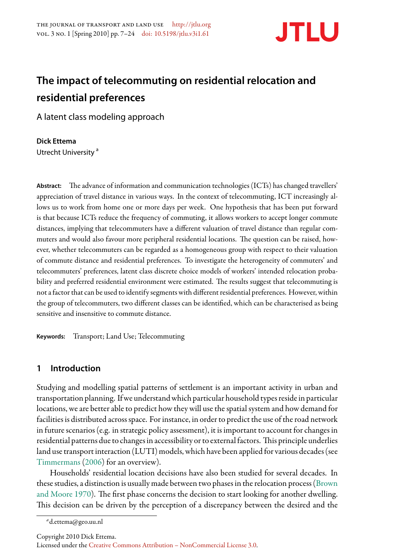

# **The impact of telecommuting on residential relocation and residential preferences**

A latent class modeling approach

### **Dick Ettema**

Utrecht University<sup>a</sup>

Abstract: The advance of information and communication technologies (ICTs) has changed travellers' appreciation of travel distance in various ways. In the context of telecommuting, ICT increasingly allows us to work from home one or more days per week. One hypothesis that has been put forward is that because ICTs reduce the frequency of commuting, it allows workers to accept longer commute distances, implying that telecommuters have a different valuation of travel distance than regular commuters and would also favour more peripheral residential locations. The question can be raised, however, whether telecommuters can be regarded as a homogeneous group with respect to their valuation of commute distance and residential preferences. To investigate the heterogeneity of commuters' and telecommuters' preferences, latent class discrete choice models of workers' intended relocation probability and preferred residential environment were estimated. The results suggest that telecommuting is not a factor that can be used to identify segments with different residential preferences. However, within the group of telecommuters, two different classes can be identiđed, which can be characterised as being sensitive and insensitive to commute distance.

**Keywords:** Transport; Land Use; Telecommuting

# **1 Introduction**

Studying and modelling spatial patterns of settlement is an important activity in urban and transportation planning. If we understand which particular household types reside in particular locations, we are better able to predict how they will use the spatial system and how demand for facilities is distributed across space. For instance, in order to predict the use of the road network in future scenarios (e.g. in strategic policy assessment), it is important to account for changes in residential patterns due to changes in accessibility or to external factors. This principle underlies land use transport interaction (LUTI) models, which have been applied for various decades (see [Timmermans](#page-17-0) [\(2006](#page-17-0)) for an overview).

Households' residential location decisions have also been studied for several decades. In these studies, a distinction is usually made between two phases in the relocation process [\(Brown](#page-16-0) [and Moore](#page-16-0) [1970\)](#page-16-0). The first phase concerns the decision to start looking for another dwelling. This decision can be driven by the perception of a discrepancy between the desired and the

*<sup>a</sup>*d.ettema@geo.uu.nl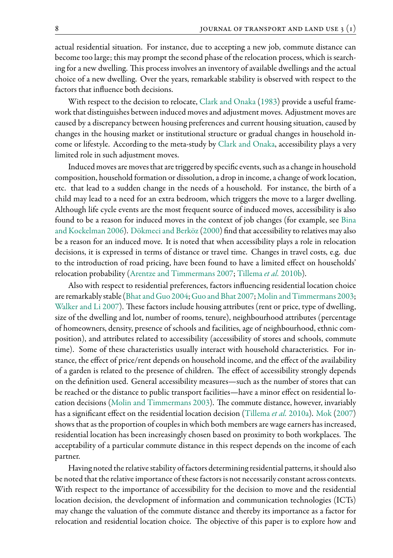actual residential situation. For instance, due to accepting a new job, commute distance can become too large; this may prompt the second phase of the relocation process, which is searching for a new dwelling. This process involves an inventory of available dwellings and the actual choice of a new dwelling. Over the years, remarkable stability is observed with respect to the factors that influence both decisions.

With respect to the decision to relocate, [Clark and Onaka](#page-16-1) ([1983](#page-16-1)) provide a useful framework that distinguishes between induced moves and adjustment moves. Adjustment moves are caused by a discrepancy between housing preferences and current housing situation, caused by changes in the housing market or institutional structure or gradual changes in household income or lifestyle. According to the meta-study by [Clark and Onaka](#page-16-1), accessibility plays a very limited role in such adjustment moves.

Induced moves are moves that are triggered by speciđc events, such as a change in household composition, household formation or dissolution, a drop in income, a change of work location, etc. that lead to a sudden change in the needs of a household. For instance, the birth of a child may lead to a need for an extra bedroom, which triggers the move to a larger dwelling. Although life cycle events are the most frequent source of induced moves, accessibility is also found to be a reason for induced moves in the context of job changes (for example, see [Bina](#page-16-2) [and Kockelman](#page-16-2) [2006](#page-16-2)). [Dökmeci and Berköz](#page-16-3)([2000\)](#page-16-3) đnd that accessibility to relatives may also be a reason for an induced move. It is noted that when accessibility plays a role in relocation decisions, it is expressed in terms of distance or travel time. Changes in travel costs, e.g. due to the introduction of road pricing, have been found to have a limited effect on households' relocation probability([Arentze and Timmermans](#page-16-4) [2007;](#page-16-4) [Tillema](#page-17-1) *et al.* [2010b\)](#page-17-1).

Also with respect to residential preferences, factors influencing residential location choice areremarkably stable ([Bhat and Guo](#page-16-5) [2004](#page-16-5); [Guo and Bhat](#page-16-6) [2007;](#page-16-6) [Molin and Timmermans](#page-17-2) [2003;](#page-17-2) [Walker and Li](#page-17-3) [2007](#page-17-3)). These factors include housing attributes (rent or price, type of dwelling, size of the dwelling and lot, number of rooms, tenure), neighbourhood attributes (percentage of homeowners, density, presence of schools and facilities, age of neighbourhood, ethnic composition), and attributes related to accessibility (accessibility of stores and schools, commute time). Some of these characteristics usually interact with household characteristics. For instance, the effect of price/rent depends on household income, and the effect of the availability of a garden is related to the presence of children. The effect of accessibility strongly depends on the deđnition used. General accessibility measures—such as the number of stores that can be reached or the distance to public transport facilities—have a minor effect on residential lo-cation decisions [\(Molin and Timmermans](#page-17-2) [2003](#page-17-2)). The commute distance, however, invariably has a signiđcant effect on the residential location decision [\(Tillema](#page-17-4) *et al.* [2010a](#page-17-4)). [Mok](#page-17-5) [\(2007\)](#page-17-5) shows that as the proportion of couples in which both members are wage earners has increased, residential location has been increasingly chosen based on proximity to both workplaces. The acceptability of a particular commute distance in this respect depends on the income of each partner.

Having noted the relative stability of factors determining residential patterns, it should also be noted that the relative importance of these factors is not necessarily constant across contexts. With respect to the importance of accessibility for the decision to move and the residential location decision, the development of information and communication technologies (ICTs) may change the valuation of the commute distance and thereby its importance as a factor for relocation and residential location choice. The objective of this paper is to explore how and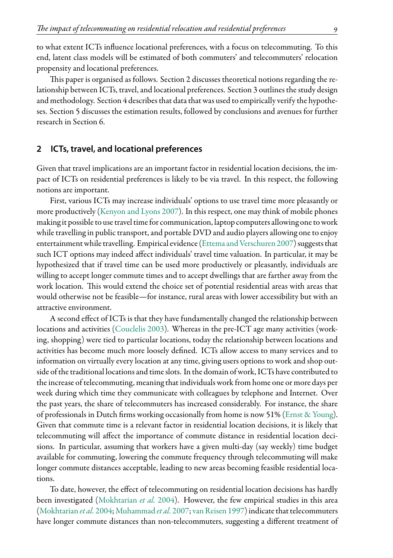to what extent ICTs influence locational preferences, with a focus on telecommuting. To this end, latent class models will be estimated of both commuters' and telecommuters' relocation propensity and locational preferences.

This paper is organised as follows. Section 2 discusses theoretical notions regarding the relationship between ICTs, travel, and locational preferences. Section 3 outlines the study design and methodology. Section 4 describes that data that was used to empirically verify the hypotheses. Section 5 discusses the estimation results, followed by conclusions and avenues for further research in Section 6.

#### **2 ICTs, travel, and locational preferences**

Given that travel implications are an important factor in residential location decisions, the impact of ICTs on residential preferences is likely to be via travel. In this respect, the following notions are important.

First, various ICTs may increase individuals' options to use travel time more pleasantly or more productively [\(Kenyon and Lyons](#page-16-7) [2007\)](#page-16-7). In this respect, one may think of mobile phones making it possible to use travel timefor communication, laptop computers allowing one to work while travelling in public transport, and portable DVD and audio players allowing one to enjoy entertainment while travelling. Empirical evidence([Ettema and Verschuren](#page-16-8) [2007\)](#page-16-8) suggests that such ICT options may indeed affect individuals' travel time valuation. In particular, it may be hypothesized that if travel time can be used more productively or pleasantly, individuals are willing to accept longer commute times and to accept dwellings that are farther away from the work location. This would extend the choice set of potential residential areas with areas that would otherwise not be feasible—for instance, rural areas with lower accessibility but with an attractive environment.

A second effect of ICTs is that they have fundamentally changed the relationship between locations and activities [\(Couclelis](#page-16-9) [2003\)](#page-16-9). Whereas in the pre-ICT age many activities (working, shopping) were tied to particular locations, today the relationship between locations and activities has become much more loosely deđned. ICTs allow access to many services and to information on virtually every location at any time, giving users options to work and shop outside of the traditional locations and time slots. In the domain of work, ICTs have contributed to the increase of telecommuting, meaning that individuals work from home one or more days per week during which time they communicate with colleagues by telephone and Internet. Over the past years, the share of telecommuters has increased considerably. For instance, the share of professionals in Dutch đrms working occasionally from home is now 51% [\(Ernst & Young](#page-16-10)). Given that commute time is a relevant factor in residential location decisions, it is likely that telecommuting will affect the importance of commute distance in residential location decisions. In particular, assuming that workers have a given multi-day (say weekly) time budget available for commuting, lowering the commute frequency through telecommuting will make longer commute distances acceptable, leading to new areas becoming feasible residential locations.

To date, however, the effect of telecommuting on residential location decisions has hardly been investigated([Mokhtarian](#page-17-6) *et al.* [2004\)](#page-17-6). However, the few empirical studies in this area [\(Mokhtarian](#page-17-6) *et al.* [2004;](#page-17-6) [Muhammad](#page-17-7) *et al.* [2007](#page-17-7); [van Reisen](#page-17-8) [1997\)](#page-17-8) indicate that telecommuters have longer commute distances than non-telecommuters, suggesting a different treatment of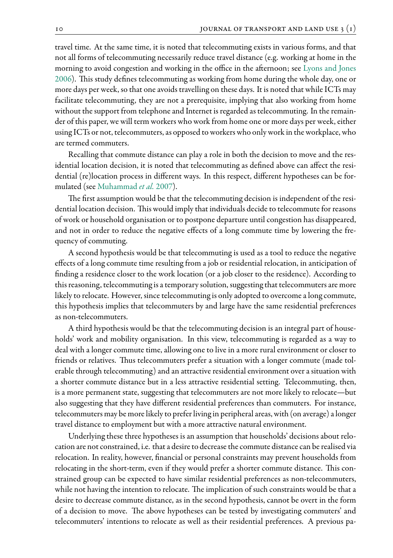travel time. At the same time, it is noted that telecommuting exists in various forms, and that not all forms of telecommuting necessarily reduce travel distance (e.g. working at home in the morning to avoid congestion and working in the office in the afternoon; see [Lyons and Jones](#page-17-9) [2006\)](#page-17-9). This study defines telecommuting as working from home during the whole day, one or more days per week, so that one avoids travelling on these days. It is noted that while ICTs may facilitate telecommuting, they are not a prerequisite, implying that also working from home without the support from telephone and Internet is regarded as telecommuting. In the remainder of this paper, we will term workers who work from home one or more days per week, either using ICTs or not, telecommuters, as opposed to workers who only work in the workplace, who are termed commuters.

Recalling that commute distance can play a role in both the decision to move and the residential location decision, it is noted that telecommuting as deđned above can affect the residential (re)location process in different ways. In this respect, different hypotheses can be formulated (see [Muhammad](#page-17-7) *et al.* [2007](#page-17-7)).

The first assumption would be that the telecommuting decision is independent of the residential location decision. This would imply that individuals decide to telecommute for reasons of work or household organisation or to postpone departure until congestion has disappeared, and not in order to reduce the negative effects of a long commute time by lowering the frequency of commuting.

A second hypothesis would be that telecommuting is used as a tool to reduce the negative effects of a long commute time resulting from a job or residential relocation, in anticipation of finding a residence closer to the work location (or a job closer to the residence). According to this reasoning, telecommuting is a temporary solution, suggesting that telecommuters are more likely to relocate. However, since telecommuting is only adopted to overcome a long commute, this hypothesis implies that telecommuters by and large have the same residential preferences as non-telecommuters.

A third hypothesis would be that the telecommuting decision is an integral part of households' work and mobility organisation. In this view, telecommuting is regarded as a way to deal with a longer commute time, allowing one to live in a more rural environment or closer to friends or relatives. Thus telecommuters prefer a situation with a longer commute (made tolerable through telecommuting) and an attractive residential environment over a situation with a shorter commute distance but in a less attractive residential setting. Telecommuting, then, is a more permanent state, suggesting that telecommuters are not more likely to relocate—but also suggesting that they have different residential preferences than commuters. For instance, telecommuters may be more likely to prefer living in peripheral areas, with (on average) a longer travel distance to employment but with a more attractive natural environment.

Underlying these three hypotheses is an assumption that households' decisions about relocation are not constrained, i.e. that a desire to decrease the commute distance can be realised via relocation. In reality, however, đnancial or personal constraints may prevent households from relocating in the short-term, even if they would prefer a shorter commute distance. This constrained group can be expected to have similar residential preferences as non-telecommuters, while not having the intention to relocate. The implication of such constraints would be that a desire to decrease commute distance, as in the second hypothesis, cannot be overt in the form of a decision to move. The above hypotheses can be tested by investigating commuters' and telecommuters' intentions to relocate as well as their residential preferences. A previous pa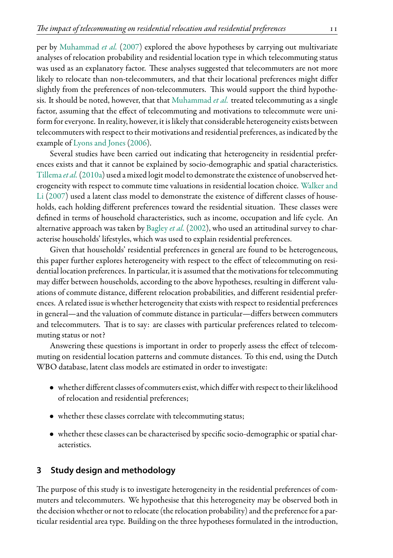per by [Muhammad](#page-17-7) *et al.* ([2007](#page-17-7)) explored the above hypotheses by carrying out multivariate analyses of relocation probability and residential location type in which telecommuting status was used as an explanatory factor. These analyses suggested that telecommuters are not more likely to relocate than non-telecommuters, and that their locational preferences might differ slightly from the preferences of non-telecommuters. This would support the third hypothesis. It should be noted, however, that that [Muhammad](#page-17-7) *et al.* treated telecommuting as a single factor, assuming that the effect of telecommuting and motivations to telecommute were uniform for everyone. In reality, however, it is likely that considerable heterogeneity exists between telecommuters with respect to their motivations and residential preferences, as indicated by the example of [Lyons and Jones](#page-17-9) [\(2006\)](#page-17-9).

Several studies have been carried out indicating that heterogeneity in residential preferences exists and that it cannot be explained by socio-demographic and spatial characteristics. [Tillema](#page-17-4)*et al.*[\(2010a\)](#page-17-4) used a mixed logit model to demonstrate the existence of unobserved heterogeneity with respect to commute time valuations in residential location choice. [Walker and](#page-17-3) [Li](#page-17-3) ([2007](#page-17-3)) used a latent class model to demonstrate the existence of different classes of households, each holding different preferences toward the residential situation. These classes were deđned in terms of household characteristics, such as income, occupation and life cycle. An alternative approach was taken by [Bagley](#page-16-11) *et al.* ([2002\)](#page-16-11), who used an attitudinal survey to characterise households' lifestyles, which was used to explain residential preferences.

Given that households' residential preferences in general are found to be heterogeneous, this paper further explores heterogeneity with respect to the effect of telecommuting on residential location preferences. In particular, it is assumed that the motivations for telecommuting may differ between households, according to the above hypotheses, resulting in different valuations of commute distance, different relocation probabilities, and different residential preferences. A related issue is whether heterogeneity that exists with respect to residential preferences in general—and the valuation of commute distance in particular—differs between commuters and telecommuters. That is to say: are classes with particular preferences related to telecommuting status or not?

Answering these questions is important in order to properly assess the effect of telecommuting on residential location patterns and commute distances. To this end, using the Dutch WBO database, latent class models are estimated in order to investigate:

- whether different classes of commuters exist, which differ with respect to their likelihood of relocation and residential preferences;
- whether these classes correlate with telecommuting status;
- whether these classes can be characterised by specific socio-demographic or spatial characteristics.

## **3 Study design and methodology**

The purpose of this study is to investigate heterogeneity in the residential preferences of commuters and telecommuters. We hypothesise that this heterogeneity may be observed both in the decision whether or not to relocate (the relocation probability) and the preference for a particular residential area type. Building on the three hypotheses formulated in the introduction,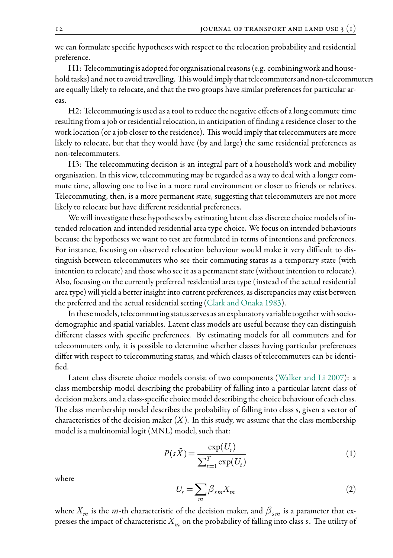we can formulate speciđc hypotheses with respect to the relocation probability and residential preference.

 $H1:$  Telecommuting is adopted for organisational reasons (e.g. combining work and household tasks) and not to avoid travelling. This would imply that telecommuters and non-telecommuters are equally likely to relocate, and that the two groups have similar preferences for particular areas.

H2: Telecommuting is used as a tool to reduce the negative effects of a long commute time resulting from a job or residential relocation, in anticipation of đnding a residence closer to the work location (or a job closer to the residence). This would imply that telecommuters are more likely to relocate, but that they would have (by and large) the same residential preferences as non-telecommuters.

H3: The telecommuting decision is an integral part of a household's work and mobility organisation. In this view, telecommuting may be regarded as a way to deal with a longer commute time, allowing one to live in a more rural environment or closer to friends or relatives. Telecommuting, then, is a more permanent state, suggesting that telecommuters are not more likely to relocate but have different residential preferences.

We will investigate these hypotheses by estimating latent class discrete choice models of intended relocation and intended residential area type choice. We focus on intended behaviours because the hypotheses we want to test are formulated in terms of intentions and preferences. For instance, focusing on observed relocation behaviour would make it very difficult to distinguish between telecommuters who see their commuting status as a temporary state (with intention to relocate) and those who see it as a permanent state (without intention to relocate). Also, focusing on the currently preferred residential area type (instead of the actual residential area type) will yield a better insight into current preferences, as discrepancies may exist between the preferred and the actual residential setting([Clark and Onaka](#page-16-1) [1983\)](#page-16-1).

In these models, telecommuting status serves as an explanatory variable together with sociodemographic and spatial variables. Latent class models are useful because they can distinguish different classes with speciđc preferences. By estimating models for all commuters and for telecommuters only, it is possible to determine whether classes having particular preferences differ with respect to telecommuting status, and which classes of telecommuters can be identified.

Latent class discrete choice models consist of two components [\(Walker and Li](#page-17-3) [2007](#page-17-3)): a class membership model describing the probability of falling into a particular latent class of decision makers, and a class-speciđc choice model describing the choice behaviour of each class. The class membership model describes the probability of falling into class s, given a vector of characteristics of the decision maker  $(X)$ . In this study, we assume that the class membership model is a multinomial logit (MNL) model, such that:

$$
P(s\bar{X}) = \frac{\exp(U_s)}{\sum_{t=1}^{T} \exp(U_t)}
$$
(1)

where

$$
U_s = \sum_m \beta_{sm} X_m \tag{2}
$$

where  $X_m$  is the *m*-th characteristic of the decision maker, and  $\beta_{sm}$  is a parameter that expresses the impact of characteristic  $X_m$  on the probability of falling into class *s*. The utility of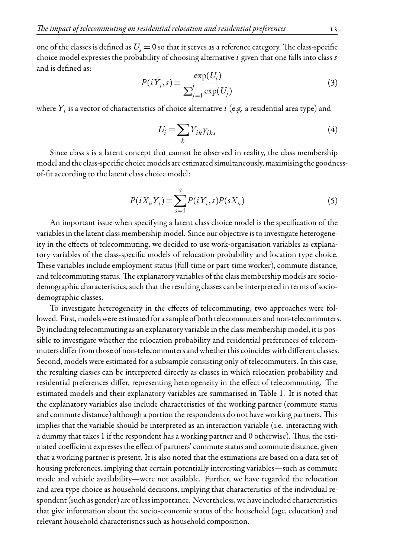one of the classes is defined as  $U_s = 0$  so that it serves as a reference category. The class-specific choice model expresses the probability of choosing alternative *i* given that one falls into class *s* and is deđned as:

$$
P(i\bar{Y}_i, s) = \frac{\exp(U_i)}{\sum_{j=1}^J \exp(U_j)}
$$
\n<sup>(3)</sup>

where  $Y_i$  is a vector of characteristics of choice alternative  $i$  (e.g. a residential area type) and

$$
U_i = \sum_k Y_{ik} \gamma_{ik}, \tag{4}
$$

Since class s is a latent concept that cannot be observed in reality, the class membership model and the class-speciđc choice models are estimated simultaneously, maximising the goodnessof-đt according to the latent class choice model:

$$
P(i\bar{X}_n Y_i) = \sum_{s=1}^{S} P(i\bar{Y}_i, s) P(s\bar{X}_n)
$$
 (5)

An important issue when specifying a latent class choice model is the specification of the variables in the latent class membership model. Since our objective is to investigate heterogeneity in the effects of telecommuting, we decided to use work-organisation variables as explanatory variables of the class-speciđc models of relocation probability and location type choice. These variables include employment status (full-time or part-time worker), commute distance, and telecommuting status. The explanatory variables of the class membership models are sociodemographic characteristics, such that the resulting classes can be interpreted in terms of sociodemographic classes.

To investigate heterogeneity in the effects of telecommuting, two approaches were followed. First, models were estimated for a sample of both telecommuters and non-telecommuters. By including telecommuting as an explanatory variable in the class membership model, it is possible to investigate whether the relocation probability and residential preferences of telecommuters differfrom those of non-telecommuters and whether this coincides with different classes. Second, models were estimated for a subsample consisting only of telecommuters. In this case, the resulting classes can be interpreted directly as classes in which relocation probability and residential preferences differ, representing heterogeneity in the effect of telecommuting. The estimated models and their explanatory variables are summarised in Table 1. It is noted that the explanatory variables also include characteristics of the working partner (commute status and commute distance) although a portion the respondents do not have working partners. This implies that the variable should be interpreted as an interaction variable (i.e. interacting with a dummy that takes 1 if the respondent has a working partner and 0 otherwise). Thus, the estimated coefficient expresses the effect of partners' commute status and commute distance, given that a working partner is present. It is also noted that the estimations are based on a data set of housing preferences, implying that certain potentially interesting variables—such as commute mode and vehicle availability—were not available. Further, we have regarded the relocation and area type choice as household decisions, implying that characteristics of the individual respondent (such as gender) are of less importance. Nevertheless, we have included characteristics that give information about the socio-economic status of the household (age, education) and relevant household characteristics such as household composition.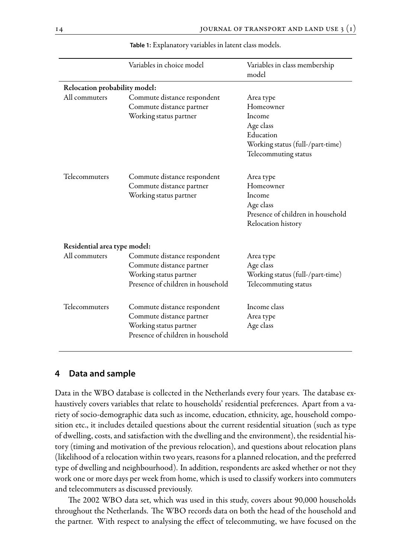|                               | Variables in choice model                                                                                              | Variables in class membership<br>model                                                                                 |
|-------------------------------|------------------------------------------------------------------------------------------------------------------------|------------------------------------------------------------------------------------------------------------------------|
| Relocation probability model: |                                                                                                                        |                                                                                                                        |
| All commuters                 | Commute distance respondent<br>Commute distance partner<br>Working status partner                                      | Area type<br>Homeowner<br>Income<br>Age class<br>Education<br>Working status (full-/part-time)<br>Telecommuting status |
| Telecommuters                 | Commute distance respondent<br>Commute distance partner<br>Working status partner                                      | Area type<br>Homeowner<br>Income<br>Age class<br>Presence of children in household<br>Relocation history               |
| Residential area type model:  |                                                                                                                        |                                                                                                                        |
| All commuters                 | Commute distance respondent<br>Commute distance partner<br>Working status partner<br>Presence of children in household | Area type<br>Age class<br>Working status (full-/part-time)<br>Telecommuting status                                     |
| Telecommuters                 | Commute distance respondent<br>Commute distance partner<br>Working status partner<br>Presence of children in household | Income class<br>Area type<br>Age class                                                                                 |

**Table 1:** Explanatory variables in latent class models.

#### **4 Data and sample**

Data in the WBO database is collected in the Netherlands every four years. The database exhaustively covers variables that relate to households' residential preferences. Apart from a variety of socio-demographic data such as income, education, ethnicity, age, household composition etc., it includes detailed questions about the current residential situation (such as type of dwelling, costs, and satisfaction with the dwelling and the environment), the residential history (timing and motivation of the previous relocation), and questions about relocation plans (likelihood of a relocation within two years, reasons for a planned relocation, and the preferred type of dwelling and neighbourhood). In addition, respondents are asked whether or not they work one or more days per week from home, which is used to classify workers into commuters and telecommuters as discussed previously.

ăe 2002 WBO data set, which was used in this study, covers about 90,000 households throughout the Netherlands. The WBO records data on both the head of the household and the partner. With respect to analysing the effect of telecommuting, we have focused on the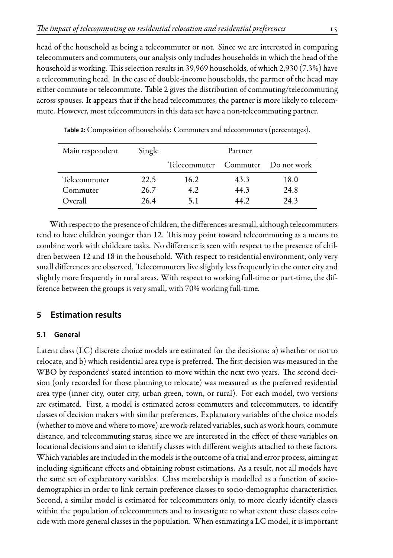head of the household as being a telecommuter or not. Since we are interested in comparing telecommuters and commuters, our analysis only includes households in which the head of the household is working. This selection results in 39,969 households, of which 2,930 (7.3%) have a telecommuting head. In the case of double-income households, the partner of the head may either commute or telecommute. Table 2 gives the distribution of commuting/telecommuting across spouses. It appears that if the head telecommutes, the partner is more likely to telecommute. However, most telecommuters in this data set have a non-telecommuting partner.

| Main respondent | Single |                                   | Partner |      |
|-----------------|--------|-----------------------------------|---------|------|
|                 |        | Telecommuter Commuter Do not work |         |      |
| Telecommuter    | 22.5   | 16.2                              | 43.3    | 18.0 |
| Commuter        | 26.7   | 4.2                               | 44.3    | 24.8 |
| Overall         | 26.4   | 51                                | 44.2    | 24.3 |

**Table 2:** Composition of households: Commuters and telecommuters (percentages).

With respect to the presence of children, the differences are small, although telecommuters tend to have children younger than 12. This may point toward telecommuting as a means to combine work with childcare tasks. No difference is seen with respect to the presence of children between 12 and 18 in the household. With respect to residential environment, only very small differences are observed. Telecommuters live slightly less frequently in the outer city and slightly more frequently in rural areas. With respect to working full-time or part-time, the difference between the groups is very small, with 70% working full-time.

# **5 Estimation results**

## **5.1 General**

Latent class (LC) discrete choice models are estimated for the decisions: a) whether or not to relocate, and b) which residential area type is preferred. The first decision was measured in the WBO by respondents' stated intention to move within the next two years. The second decision (only recorded for those planning to relocate) was measured as the preferred residential area type (inner city, outer city, urban green, town, or rural). For each model, two versions are estimated. First, a model is estimated across commuters and telecommuters, to identify classes of decision makers with similar preferences. Explanatory variables of the choice models (whether to move and where to move) are work-related variables, such as work hours, commute distance, and telecommuting status, since we are interested in the effect of these variables on locational decisions and aim to identify classes with different weights attached to these factors. Which variables are included in the models is the outcome of a trial and error process, aiming at including signiđcant effects and obtaining robust estimations. As a result, not all models have the same set of explanatory variables. Class membership is modelled as a function of sociodemographics in order to link certain preference classes to socio-demographic characteristics. Second, a similar model is estimated for telecommuters only, to more clearly identify classes within the population of telecommuters and to investigate to what extent these classes coincide with more general classes in the population. When estimating a LC model, it is important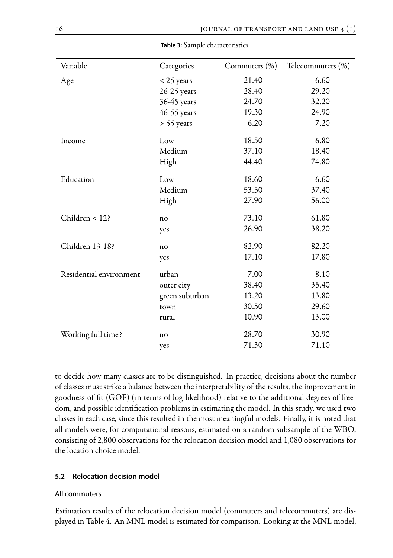| Variable                | Categories     | Commuters (%) | Telecommuters (%) |
|-------------------------|----------------|---------------|-------------------|
| Age                     | $<$ 25 years   | 21.40         | 6.60              |
|                         | 26-25 years    | 28.40         | 29.20             |
|                         | 36-45 years    | 24.70         | 32.20             |
|                         | 46-55 years    | 19.30         | 24.90             |
|                         | > 55 years     | 6.20          | 7.20              |
| Income                  | Low            | 18.50         | 6.80              |
|                         | Medium         | 37.10         | 18.40             |
|                         | High           | 44.40         | 74.80             |
| Education               | Low            | 18.60         | 6.60              |
|                         | Medium         | 53.50         | 37.40             |
|                         | High           | 27.90         | 56.00             |
| Children < 12?          | no             | 73.10         | 61.80             |
|                         | yes            | 26.90         | 38.20             |
| Children 13-18?         | no             | 82.90         | 82.20             |
|                         | yes            | 17.10         | 17.80             |
| Residential environment | urban          | 7.00          | 8.10              |
|                         | outer city     | 38.40         | 35.40             |
|                         | green suburban | 13.20         | 13.80             |
|                         | town           | 30.50         | 29.60             |
|                         | rural          | 10.90         | 13.00             |
| Working full time?      | no             | 28.70         | 30.90             |
|                         | yes            | 71.30         | 71.10             |

**Table 3:** Sample characteristics.

to decide how many classes are to be distinguished. In practice, decisions about the number of classes must strike a balance between the interpretability of the results, the improvement in goodness-of-đt (GOF) (in terms of log-likelihood) relative to the additional degrees of freedom, and possible identiđcation problems in estimating the model. In this study, we used two classes in each case, since this resulted in the most meaningful models. Finally, it is noted that all models were, for computational reasons, estimated on a random subsample of the WBO, consisting of 2,800 observations for the relocation decision model and 1,080 observations for the location choice model.

#### **5.2 Relocation decision model**

#### All commuters

Estimation results of the relocation decision model (commuters and telecommuters) are displayed in Table 4. An MNL model is estimated for comparison. Looking at the MNL model,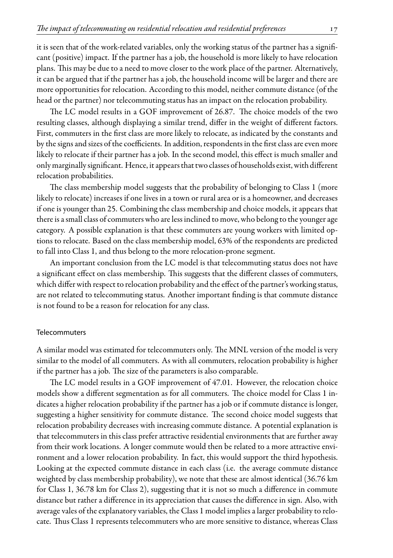it is seen that of the work-related variables, only the working status of the partner has a signiđcant (positive) impact. If the partner has a job, the household is more likely to have relocation plans. This may be due to a need to move closer to the work place of the partner. Alternatively, it can be argued that if the partner has a job, the household income will be larger and there are more opportunities for relocation. According to this model, neither commute distance (of the head or the partner) nor telecommuting status has an impact on the relocation probability.

The LC model results in a GOF improvement of 26.87. The choice models of the two resulting classes, although displaying a similar trend, differ in the weight of different factors. First, commuters in the đrst class are more likely to relocate, as indicated by the constants and by the signs and sizes of the coefficients. In addition, respondents in the first class are even more likely to relocate if their partner has a job. In the second model, this effect is much smaller and only marginally signiđcant. Hence, it appears that two classes of households exist, with different relocation probabilities.

The class membership model suggests that the probability of belonging to Class 1 (more likely to relocate) increases if one lives in a town or rural area or is a homeowner, and decreases if one is younger than 25. Combining the class membership and choice models, it appears that there is a small class of commuters who are less inclined to move, who belong to the younger age category. A possible explanation is that these commuters are young workers with limited options to relocate. Based on the class membership model, 63% of the respondents are predicted to fall into Class 1, and thus belong to the more relocation-prone segment.

An important conclusion from the LC model is that telecommuting status does not have a significant effect on class membership. This suggests that the different classes of commuters, which differ with respect to relocation probability and the effect of the partner's working status, are not related to telecommuting status. Another important đnding is that commute distance is not found to be a reason for relocation for any class.

#### Telecommuters

A similar model was estimated for telecommuters only. ăe MNL version of the model is very similar to the model of all commuters. As with all commuters, relocation probability is higher if the partner has a job. The size of the parameters is also comparable.

The LC model results in a GOF improvement of 47.01. However, the relocation choice models show a different segmentation as for all commuters. The choice model for Class 1 indicates a higher relocation probability if the partner has a job or if commute distance is longer, suggesting a higher sensitivity for commute distance. The second choice model suggests that relocation probability decreases with increasing commute distance. A potential explanation is that telecommuters in this class prefer attractive residential environments that are further away from their work locations. A longer commute would then be related to a more attractive environment and a lower relocation probability. In fact, this would support the third hypothesis. Looking at the expected commute distance in each class (i.e. the average commute distance weighted by class membership probability), we note that these are almost identical (36.76 km for Class 1, 36.78 km for Class 2), suggesting that it is not so much a difference in commute distance but rather a difference in its appreciation that causes the difference in sign. Also, with average vales of the explanatory variables, the Class 1 model implies a larger probability to relocate. Thus Class 1 represents telecommuters who are more sensitive to distance, whereas Class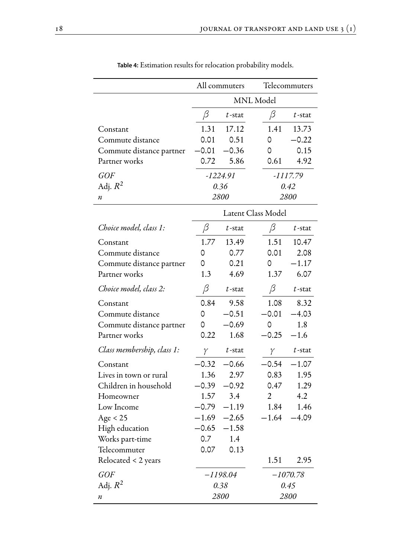|                            |         | All commuters |                    | Telecommuters |
|----------------------------|---------|---------------|--------------------|---------------|
|                            |         |               | <b>MNL</b> Model   |               |
|                            | β       | $t$ -stat     | β                  | $t$ -stat     |
| Constant                   | 1.31    | 17.12         | 1.41               | 13.73         |
| Commute distance           | 0.01    | 0.51          | 0                  | $-0.22$       |
| Commute distance partner   | $-0.01$ | $-0.36$       | 0                  | 0.15          |
| Partner works              | 0.72    | 5.86          | 0.61               | 4.92          |
| <b>GOF</b>                 |         | $-1224.91$    |                    | $-1117.79$    |
| Adj. $R^2$                 |         | 0.36          |                    | 0.42          |
| n                          |         | 2800          |                    | 2800          |
|                            |         |               | Latent Class Model |               |
| Choice model, class 1:     | β       | $t$ -stat     | β                  | $t$ -stat     |
| Constant                   | 1.77    | 13.49         | 1.51               | 10.47         |
| Commute distance           | 0       | 0.77          | 0.01               | 2.08          |
| Commute distance partner   | 0       | 0.21          | 0                  | $-1.17$       |
| Partner works              | 1.3     | 4.69          | 1.37               | 6.07          |
| Choice model, class 2:     | $\beta$ | $t$ -stat     | β                  | $t$ -stat     |
| Constant                   | 0.84    | 9.58          | 1.08               | 8.32          |
| Commute distance           | 0       | $-0.51$       | $-0.01$            | $-4.03$       |
| Commute distance partner   | 0       | $-0.69$       | 0                  | 1.8           |
| Partner works              | 0.22    | 1.68          | $-0.25$            | $-1.6$        |
| Class membership, class 1: | γ       | $t$ -stat     | γ                  | $t$ -stat     |
| Constant                   | $-0.32$ | $-0.66$       | $-0.54$            | $-1.07$       |
| Lives in town or rural     | 1.36    | 2.97          | 0.83               | 1.95          |
| Children in household      | $-0.39$ | $-0.92$       | 0.47               | 1.29          |
| Homeowner                  | 1.57    | 3.4           | $\overline{2}$     | 4.2           |
| Low Income                 | $-0.79$ | $-1.19$       | 1.84               | 1.46          |
| Age < 25                   | $-1.69$ | $-2.65$       | $-1.64$            | $-4.09$       |
| High education             | $-0.65$ | $-1.58$       |                    |               |
| Works part-time            | 0.7     | 1.4           |                    |               |
| Telecommuter               | 0.07    | 0.13          |                    |               |
| Relocated < 2 years        |         |               | 1.51               | 2.95          |
| <b>GOF</b>                 |         | -1198.04      |                    | $-1070.78$    |
| Adj. $R^2$                 |         | 0.38          |                    | 0.45          |
| п                          |         | 2800          |                    | 2800          |

**Table 4:** Estimation results for relocation probability models.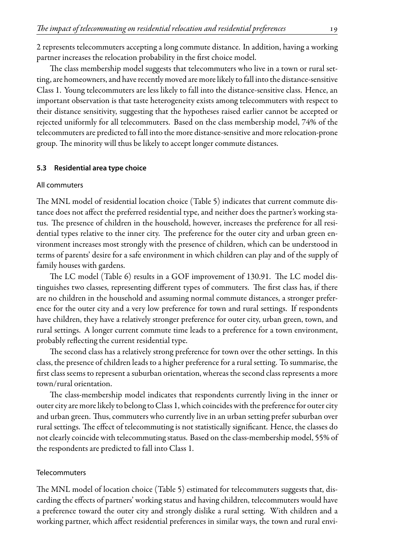2 represents telecommuters accepting a long commute distance. In addition, having a working partner increases the relocation probability in the first choice model.

The class membership model suggests that telecommuters who live in a town or rural setting, are homeowners, and have recently moved are more likely to fall into the distance-sensitive Class 1. Young telecommuters are less likely to fall into the distance-sensitive class. Hence, an important observation is that taste heterogeneity exists among telecommuters with respect to their distance sensitivity, suggesting that the hypotheses raised earlier cannot be accepted or rejected uniformly for all telecommuters. Based on the class membership model, 74% of the telecommuters are predicted to fall into the more distance-sensitive and more relocation-prone group. The minority will thus be likely to accept longer commute distances.

#### **5.3 Residential area type choice**

#### All commuters

The MNL model of residential location choice (Table 5) indicates that current commute distance does not affect the preferred residential type, and neither does the partner's working status. The presence of children in the household, however, increases the preference for all residential types relative to the inner city. The preference for the outer city and urban green environment increases most strongly with the presence of children, which can be understood in terms of parents' desire for a safe environment in which children can play and of the supply of family houses with gardens.

The LC model (Table 6) results in a GOF improvement of 130.91. The LC model distinguishes two classes, representing different types of commuters. The first class has, if there are no children in the household and assuming normal commute distances, a stronger preference for the outer city and a very low preference for town and rural settings. If respondents have children, they have a relatively stronger preference for outer city, urban green, town, and rural settings. A longer current commute time leads to a preference for a town environment, probably reflecting the current residential type.

The second class has a relatively strong preference for town over the other settings. In this class, the presence of children leads to a higher preference for a rural setting. To summarise, the first class seems to represent a suburban orientation, whereas the second class represents a more town/rural orientation.

The class-membership model indicates that respondents currently living in the inner or outer city are more likely to belong to Class 1, which coincides with the preference for outer city and urban green. Thus, commuters who currently live in an urban setting prefer suburban over rural settings. The effect of telecommuting is not statistically significant. Hence, the classes do not clearly coincide with telecommuting status. Based on the class-membership model, 55% of the respondents are predicted to fall into Class 1.

#### Telecommuters

The MNL model of location choice (Table 5) estimated for telecommuters suggests that, discarding the effects of partners' working status and having children, telecommuters would have a preference toward the outer city and strongly dislike a rural setting. With children and a working partner, which affect residential preferences in similar ways, the town and rural envi-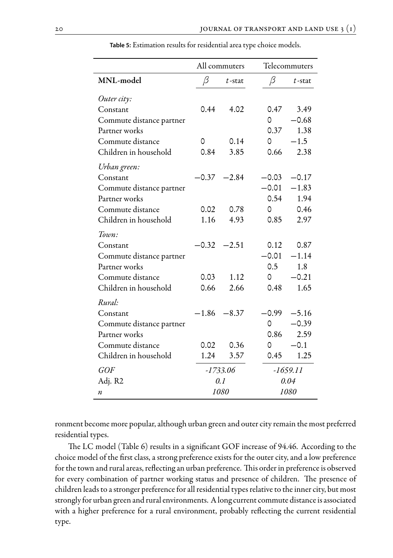|                          |                | All commuters |         | Telecommuters |
|--------------------------|----------------|---------------|---------|---------------|
| MNL-model                | β              | $t$ -stat     | β       | $t$ -stat     |
| Outer city:              |                |               |         |               |
| Constant                 | 0.44           | 4.02          | 0.47    | 3.49          |
| Commute distance partner |                |               | $\circ$ | $-0.68$       |
| Partner works            |                |               | 0.37    | 1.38          |
| Commute distance         | 0              | 0.14          | 0       | $-1.5$        |
| Children in household    | 0.84           | 3.85          | 0.66    | 2.38          |
| Urban green:             |                |               |         |               |
| Constant                 | $-0.37$        | $-2.84$       | $-0.03$ | $-0.17$       |
| Commute distance partner |                |               | $-0.01$ | $-1.83$       |
| Partner works            |                |               | 0.54    | 1.94          |
| Commute distance         | 0.02           | 0.78          | 0       | 0.46          |
| Children in household    | 1.16           | 4.93          | 0.85    | 2.97          |
| Town:                    |                |               |         |               |
| Constant                 | $-0.32$        | $-2.51$       | 0.12    | 0.87          |
| Commute distance partner |                |               | $-0.01$ | $-1.14$       |
| Partner works            |                |               | 0.5     | 1.8           |
| Commute distance         | 0.03           | 1.12          | 0       | $-0.21$       |
| Children in household    | 0.66           | 2.66          | 0.48    | 1.65          |
| Rural:                   |                |               |         |               |
| Constant                 | $-1.86 - 8.37$ |               | $-0.99$ | $-5.16$       |
| Commute distance partner |                |               | 0       | $-0.39$       |
| Partner works            |                |               | 0.86    | 2.59          |
| Commute distance         | 0.02           | 0.36          | 0       | $-0.1$        |
| Children in household    | 1.24           | 3.57          | 0.45    | 1.25          |
| <b>GOF</b>               |                | $-1733.06$    |         | $-1659.11$    |
| Adj. R2                  |                | 0.1           |         | 0.04          |
| n                        |                | 1080          |         | 1080          |

**Table 5:** Estimation results for residential area type choice models.

ronment become more popular, although urban green and outer city remain the most preferred residential types.

The LC model (Table 6) results in a significant GOF increase of 94.46. According to the choice model of the đrst class, a strong preference exists for the outer city, and a low preference for the town and rural areas, reflecting an urban preference. This order in preference is observed for every combination of partner working status and presence of children. The presence of children leads to a stronger preference for all residential types relative to the inner city, but most strongly for urban green and rural environments. A long current commute distance is associated with a higher preference for a rural environment, probably reflecting the current residential type.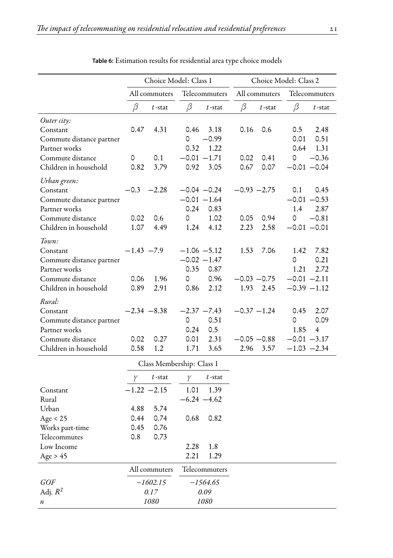|                                      |                |               | Choice Model: Class 1               |                | Choice Model: Class 2       |
|--------------------------------------|----------------|---------------|-------------------------------------|----------------|-----------------------------|
|                                      |                | All commuters | Telecommuters                       | All commuters  | Telecommuters               |
|                                      | β              | $t$ -stat     | β<br>$t$ -stat                      | β<br>$t$ -stat | β<br>$t$ -stat              |
| Outer city:                          |                |               |                                     |                |                             |
| Constant<br>Commute distance partner | 0.47           | 4.31          | 3.18<br>0.46<br>$-0.99$<br>$\Omega$ | 0.16<br>0.6    | 2.48<br>0.5<br>0.01<br>0.51 |
| Partner works                        |                |               | 0.32<br>1.22                        |                | 0.64<br>1.31                |
| Commute distance                     | 0              | 0.1           | $-0.01 - 1.71$                      | 0.02<br>0.41   | $-0.36$<br>0                |
| Children in household                | 0.82           | 3.79          | 0.92<br>3.05                        | 0.67<br>0.07   | $-0.01 - 0.04$              |
| Urban green:                         |                |               |                                     |                |                             |
| Constant                             | $-0.3$         | $-2.28$       | $-0.04 -0.24$                       | $-0.93 - 2.75$ | 0.1<br>0.45                 |
| Commute distance partner             |                |               | $-0.01 - 1.64$                      |                | $-0.01 - 0.53$              |
| Partner works                        |                |               | 0.83<br>0.24                        |                | 2.87<br>1.4                 |
| Commute distance                     | 0.02           | 0.6           | 1.02<br>0                           | 0.05<br>0.94   | 0<br>$-0.81$                |
| Children in household                | 1.07           | 4.49          | 4.12<br>1.24                        | 2.23<br>2.58   | $-0.01 - 0.01$              |
| Town:                                |                |               |                                     |                |                             |
| Constant                             | $-1.43 -7.9$   |               | $-1.06 - 5.12$                      | 1.53<br>7.06   | 1.42<br>7.82                |
| Commute distance partner             |                |               | $-0.02 -1.47$                       |                | 0<br>0.21                   |
| Partner works                        |                |               | 0.35<br>0.87                        |                | 1.21<br>2.72                |
| Commute distance                     | 0.06           | 1.96          | 0.96<br>0                           | $-0.03 -0.75$  | $-0.01 -2.11$               |
| Children in household                | 0.89           | 2.91          | 0.86<br>2.12                        | 1.93<br>2.45   | $-0.39 -1.12$               |
| Rural:                               |                |               |                                     |                |                             |
| Constant                             | $-2.34 - 8.38$ |               | $-2.37 -7.43$                       | $-0.37 - 1.24$ | 0.45<br>2.07                |
| Commute distance partner             |                |               | 0.51<br>0                           |                | 0.09<br>0                   |
| Partner works                        |                |               | 0.24<br>0.5                         |                | 1.85<br>$\overline{4}$      |
| Commute distance                     | 0.02           | 0.27          | 2.31<br>0.01                        | $-0.05 -0.88$  | $-0.01 -3.17$               |
| Children in household                | 0.58           | 1.2           | 3.65<br>1.71                        | 2.96<br>3.57   | $-1.03 -2.34$               |

| <b>Table 6:</b> Estimation results for residential area type choice models |  |  |  |  |  |  |  |
|----------------------------------------------------------------------------|--|--|--|--|--|--|--|
|----------------------------------------------------------------------------|--|--|--|--|--|--|--|

|                  |               | Class Membership: Class 1 |                |               |
|------------------|---------------|---------------------------|----------------|---------------|
|                  | γ             | $t$ -stat                 | γ              | $t$ -stat     |
| Constant         | $-1.22 -2.15$ |                           | 1.01           | 1.39          |
| Rural            |               |                           | $-6.24 - 4.62$ |               |
| Urban            | 4.88          | 5.74                      |                |               |
| Age $<$ 25       | 0.44          | 0.74                      | 0.68           | 0.82          |
| Works part-time  | 0.45          | 0.76                      |                |               |
| Telecommutes     | 0.8           | 0.73                      |                |               |
| Low Income       |               |                           | 2.28           | 1.8           |
| Age > $45$       |               |                           | 2.21           | 1.29          |
|                  |               | All commuters             |                | Telecommuters |
| <i>GOF</i>       |               | $-1602.15$                |                | $-1564.65$    |
| Adj. $R^2$       |               | 0.17                      |                | 0.09          |
| $\boldsymbol{n}$ |               | 1080                      |                | 1080          |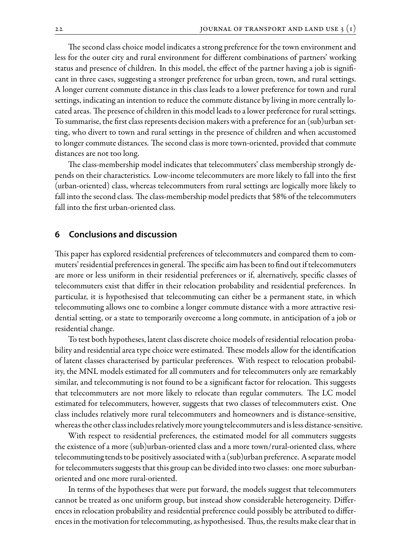The second class choice model indicates a strong preference for the town environment and less for the outer city and rural environment for different combinations of partners' working status and presence of children. In this model, the effect of the partner having a job is signiđcant in three cases, suggesting a stronger preference for urban green, town, and rural settings. A longer current commute distance in this class leads to a lower preference for town and rural settings, indicating an intention to reduce the commute distance by living in more centrally located areas. The presence of children in this model leads to a lower preference for rural settings. To summarise, the đrst class represents decision makers with a preference for an (sub)urban setting, who divert to town and rural settings in the presence of children and when accustomed to longer commute distances. The second class is more town-oriented, provided that commute distances are not too long.

The class-membership model indicates that telecommuters' class membership strongly depends on their characteristics. Low-income telecommuters are more likely to fall into the đrst (urban-oriented) class, whereas telecommuters from rural settings are logically more likely to fall into the second class. The class-membership model predicts that 58% of the telecommuters fall into the đrst urban-oriented class.

#### **6 Conclusions and discussion**

This paper has explored residential preferences of telecommuters and compared them to commuters' residential preferences in general. The specific aim has been to find out if telecommuters are more or less uniform in their residential preferences or if, alternatively, speciđc classes of telecommuters exist that differ in their relocation probability and residential preferences. In particular, it is hypothesised that telecommuting can either be a permanent state, in which telecommuting allows one to combine a longer commute distance with a more attractive residential setting, or a state to temporarily overcome a long commute, in anticipation of a job or residential change.

To test both hypotheses, latent class discrete choice models of residential relocation probability and residential area type choice were estimated. These models allow for the identification of latent classes characterised by particular preferences. With respect to relocation probability, the MNL models estimated for all commuters and for telecommuters only are remarkably similar, and telecommuting is not found to be a significant factor for relocation. This suggests that telecommuters are not more likely to relocate than regular commuters. The LC model estimated for telecommuters, however, suggests that two classes of telecommuters exist. One class includes relatively more rural telecommuters and homeowners and is distance-sensitive, whereas the other class includes relatively more young telecommuters and is less distance-sensitive.

With respect to residential preferences, the estimated model for all commuters suggests the existence of a more (sub)urban-oriented class and a more town/rural-oriented class, where telecommuting tends to be positively associated with a (sub)urban preference. A separate model for telecommuters suggests that this group can be divided into two classes: one more suburbanoriented and one more rural-oriented.

In terms of the hypotheses that were put forward, the models suggest that telecommuters cannot be treated as one uniform group, but instead show considerable heterogeneity. Differences in relocation probability and residential preference could possibly be attributed to differences in the motivation for telecommuting, as hypothesised. Thus, the results make clear that in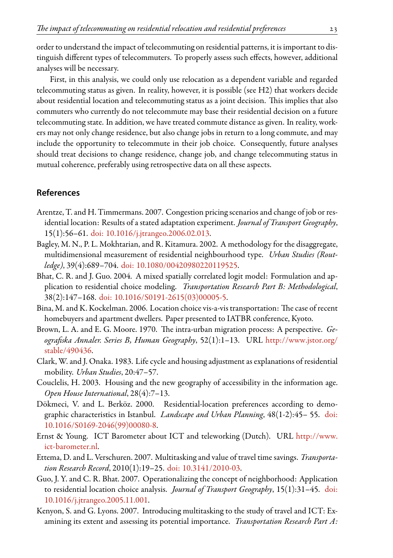order to understand the impact of telecommuting on residential patterns, it is important to distinguish different types of telecommuters. To properly assess such effects, however, additional analyses will be necessary.

First, in this analysis, we could only use relocation as a dependent variable and regarded telecommuting status as given. In reality, however, it is possible (see H2) that workers decide about residential location and telecommuting status as a joint decision. This implies that also commuters who currently do not telecommute may base their residential decision on a future telecommuting state. In addition, we have treated commute distance as given. In reality, workers may not only change residence, but also change jobs in return to a long commute, and may include the opportunity to telecommute in their job choice. Consequently, future analyses should treat decisions to change residence, change job, and change telecommuting status in mutual coherence, preferably using retrospective data on all these aspects.

# **References**

- <span id="page-16-4"></span>Arentze, T. and H. Timmermans. 2007. Congestion pricing scenarios and change of job or residential location: Results of a stated adaptation experiment. *Journal of Transport Geography*, 15(1):56–61. [doi: 10.1016/j.jtrangeo.2006.02.013](http://dx.doi.org/10.1016/j.jtrangeo.2006.02.013).
- <span id="page-16-11"></span>Bagley, M. N., P. L. Mokhtarian, and R. Kitamura. 2002. A methodology for the disaggregate, multidimensional measurement of residential neighbourhood type. *Urban Studies (Routledge)*, 39(4):689–704. [doi: 10.1080/00420980220119525.](http://dx.doi.org/10.1080/00420980220119525)
- <span id="page-16-5"></span>Bhat, C. R. and J. Guo. 2004. A mixed spatially correlated logit model: Formulation and application to residential choice modeling. *Transportation Research Part B: Methodological*, 38(2):147–168. [doi: 10.1016/S0191-2615\(03\)00005-5](http://dx.doi.org/10.1016/S0191-2615(03)00005-5).
- <span id="page-16-2"></span>Bina, M. and K. Kockelman. 2006. Location choice vis-a-vis transportation: The case of recent homebuyers and apartment dwellers. Paper presented to IATBR conference, Kyoto.
- <span id="page-16-0"></span>Brown, L. A. and E. G. Moore. 1970. The intra-urban migration process: A perspective. *GeograĖska Annaler. Series B, Human Geography*, 52(1):1–13. URL [http://www.jstor.org/](http://www.jstor.org/stable/490436) [stable/490436](http://www.jstor.org/stable/490436).
- <span id="page-16-1"></span>Clark, W. and J. Onaka. 1983. Life cycle and housing adjustment as explanations of residential mobility. *Urban Studies*, 20:47–57.
- <span id="page-16-9"></span>Couclelis, H. 2003. Housing and the new geography of accessibility in the information age. *Open House International*, 28(4):7–13.
- <span id="page-16-3"></span>Dökmeci, V. and L. Berköz. 2000. Residential-location preferences according to demographic characteristics in Istanbul. *Landscape and Urban Planning*, 48(1-2):45– 55. [doi:](http://dx.doi.org/10.1016/S0169-2046(99)00080-8) [10.1016/S0169-2046\(99\)00080-8.](http://dx.doi.org/10.1016/S0169-2046(99)00080-8)
- <span id="page-16-10"></span>Ernst & Young. ICT Barometer about ICT and teleworking (Dutch). URL [http://www.](http://www.ict-barometer.nl) [ict-barometer.nl.](http://www.ict-barometer.nl)
- <span id="page-16-8"></span>Ettema, D. and L. Verschuren. 2007. Multitasking and value of travel time savings. *Transportation Research Record*, 2010(1):19–25. [doi: 10.3141/2010-03](http://dx.doi.org/10.3141/2010-03).
- <span id="page-16-6"></span>Guo, J. Y. and C. R. Bhat. 2007. Operationalizing the concept of neighborhood: Application to residential location choice analysis. *Journal of Transport Geography*, 15(1):31–45. [doi:](http://dx.doi.org/10.1016/j.jtrangeo.2005.11.001) [10.1016/j.jtrangeo.2005.11.001.](http://dx.doi.org/10.1016/j.jtrangeo.2005.11.001)
- <span id="page-16-7"></span>Kenyon, S. and G. Lyons. 2007. Introducing multitasking to the study of travel and ICT: Examining its extent and assessing its potential importance. *Transportation Research Part A:*